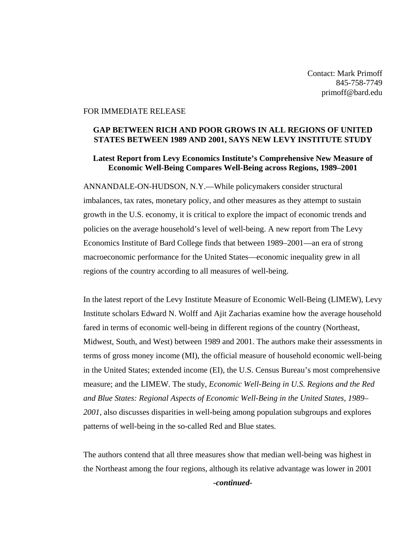Contact: Mark Primoff 845-758-7749 primoff@bard.edu

## FOR IMMEDIATE RELEASE

## **GAP BETWEEN RICH AND POOR GROWS IN ALL REGIONS OF UNITED STATES BETWEEN 1989 AND 2001, SAYS NEW LEVY INSTITUTE STUDY**

## **Latest Report from Levy Economics Institute's Comprehensive New Measure of Economic Well-Being Compares Well-Being across Regions, 1989–2001**

ANNANDALE-ON-HUDSON, N.Y.—While policymakers consider structural imbalances, tax rates, monetary policy, and other measures as they attempt to sustain growth in the U.S. economy, it is critical to explore the impact of economic trends and policies on the average household's level of well-being. A new report from The Levy Economics Institute of Bard College finds that between 1989–2001—an era of strong macroeconomic performance for the United States—economic inequality grew in all regions of the country according to all measures of well-being.

In the latest report of the Levy Institute Measure of Economic Well-Being (LIMEW), Levy Institute scholars Edward N. Wolff and Ajit Zacharias examine how the average household fared in terms of economic well-being in different regions of the country (Northeast, Midwest, South, and West) between 1989 and 2001. The authors make their assessments in terms of gross money income (MI), the official measure of household economic well-being in the United States; extended income (EI), the U.S. Census Bureau's most comprehensive measure; and the LIMEW. The study, *Economic Well-Being in U.S. Regions and the Red and Blue States: Regional Aspects of Economic Well-Being in the United States, 1989– 2001*, also discusses disparities in well-being among population subgroups and explores patterns of well-being in the so-called Red and Blue states.

The authors contend that all three measures show that median well-being was highest in the Northeast among the four regions, although its relative advantage was lower in 2001 *-continued-*